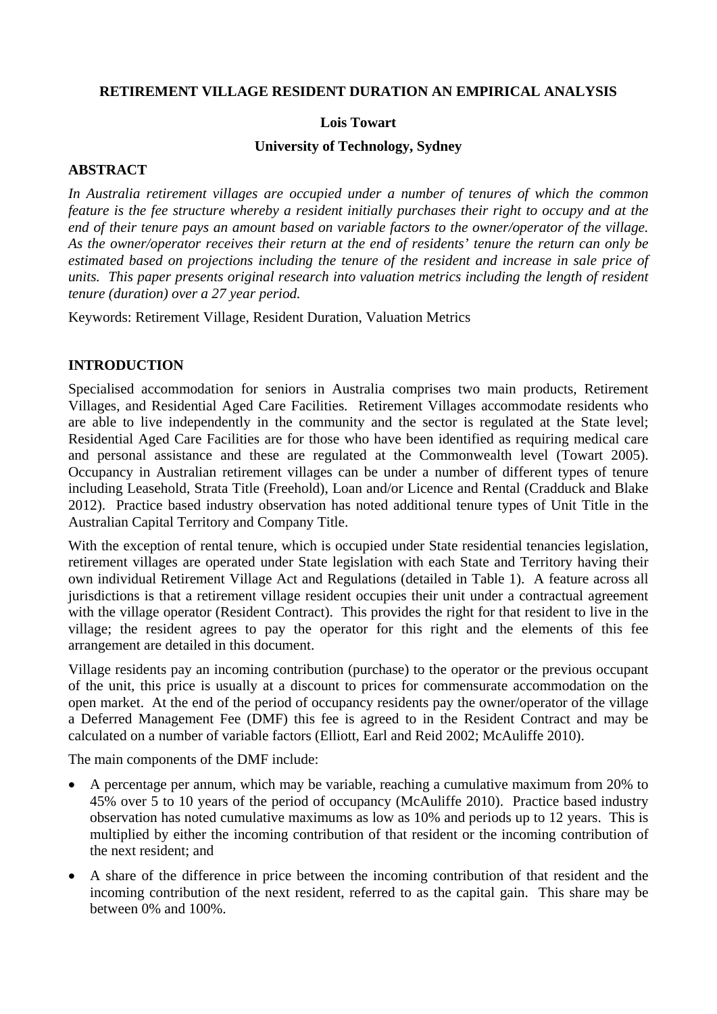## **RETIREMENT VILLAGE RESIDENT DURATION AN EMPIRICAL ANALYSIS**

## **Lois Towart**

## **University of Technology, Sydney**

## **ABSTRACT**

*In Australia retirement villages are occupied under a number of tenures of which the common feature is the fee structure whereby a resident initially purchases their right to occupy and at the end of their tenure pays an amount based on variable factors to the owner/operator of the village. As the owner/operator receives their return at the end of residents' tenure the return can only be estimated based on projections including the tenure of the resident and increase in sale price of units. This paper presents original research into valuation metrics including the length of resident tenure (duration) over a 27 year period.* 

Keywords: Retirement Village, Resident Duration, Valuation Metrics

## **INTRODUCTION**

Specialised accommodation for seniors in Australia comprises two main products, Retirement Villages, and Residential Aged Care Facilities. Retirement Villages accommodate residents who are able to live independently in the community and the sector is regulated at the State level; Residential Aged Care Facilities are for those who have been identified as requiring medical care and personal assistance and these are regulated at the Commonwealth level (Towart 2005). Occupancy in Australian retirement villages can be under a number of different types of tenure including Leasehold, Strata Title (Freehold), Loan and/or Licence and Rental (Cradduck and Blake 2012). Practice based industry observation has noted additional tenure types of Unit Title in the Australian Capital Territory and Company Title.

With the exception of rental tenure, which is occupied under State residential tenancies legislation, retirement villages are operated under State legislation with each State and Territory having their own individual Retirement Village Act and Regulations (detailed in Table 1). A feature across all jurisdictions is that a retirement village resident occupies their unit under a contractual agreement with the village operator (Resident Contract). This provides the right for that resident to live in the village; the resident agrees to pay the operator for this right and the elements of this fee arrangement are detailed in this document.

Village residents pay an incoming contribution (purchase) to the operator or the previous occupant of the unit, this price is usually at a discount to prices for commensurate accommodation on the open market. At the end of the period of occupancy residents pay the owner/operator of the village a Deferred Management Fee (DMF) this fee is agreed to in the Resident Contract and may be calculated on a number of variable factors (Elliott, Earl and Reid 2002; McAuliffe 2010).

The main components of the DMF include:

- A percentage per annum, which may be variable, reaching a cumulative maximum from 20% to 45% over 5 to 10 years of the period of occupancy (McAuliffe 2010). Practice based industry observation has noted cumulative maximums as low as 10% and periods up to 12 years. This is multiplied by either the incoming contribution of that resident or the incoming contribution of the next resident; and
- A share of the difference in price between the incoming contribution of that resident and the incoming contribution of the next resident, referred to as the capital gain. This share may be between 0% and 100%.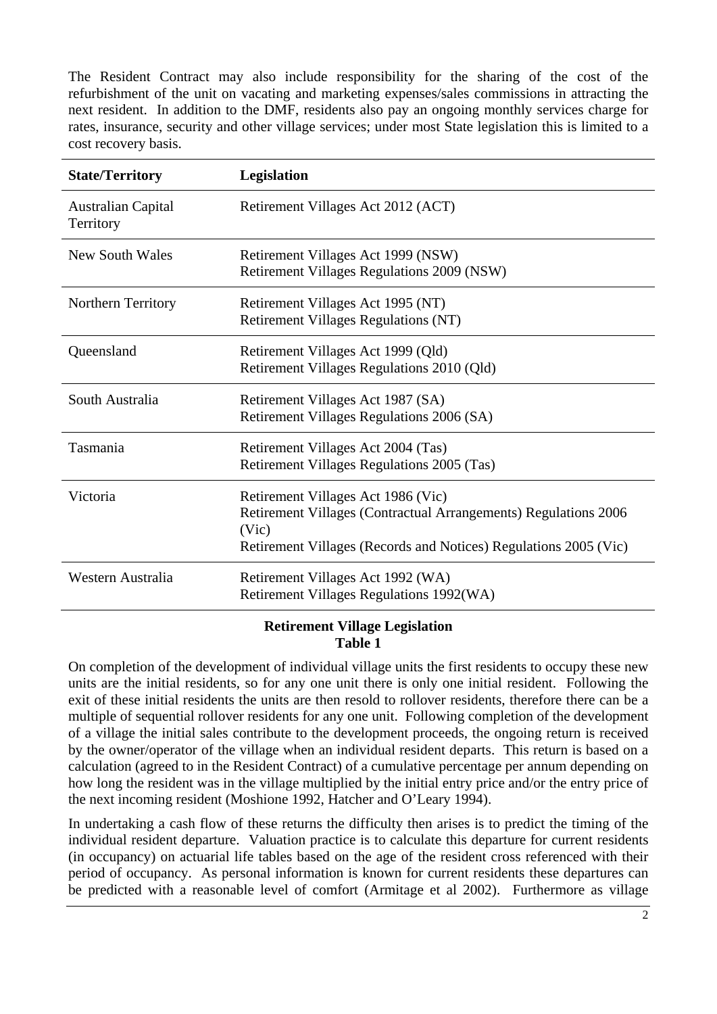The Resident Contract may also include responsibility for the sharing of the cost of the refurbishment of the unit on vacating and marketing expenses/sales commissions in attracting the next resident. In addition to the DMF, residents also pay an ongoing monthly services charge for rates, insurance, security and other village services; under most State legislation this is limited to a cost recovery basis.

| <b>State/Territory</b>                 | <b>Legislation</b>                                                                                                                                                                 |
|----------------------------------------|------------------------------------------------------------------------------------------------------------------------------------------------------------------------------------|
| <b>Australian Capital</b><br>Territory | Retirement Villages Act 2012 (ACT)                                                                                                                                                 |
| New South Wales                        | Retirement Villages Act 1999 (NSW)<br>Retirement Villages Regulations 2009 (NSW)                                                                                                   |
| Northern Territory                     | Retirement Villages Act 1995 (NT)<br>Retirement Villages Regulations (NT)                                                                                                          |
| Queensland                             | Retirement Villages Act 1999 (Qld)<br>Retirement Villages Regulations 2010 (Qld)                                                                                                   |
| South Australia                        | Retirement Villages Act 1987 (SA)<br>Retirement Villages Regulations 2006 (SA)                                                                                                     |
| Tasmania                               | Retirement Villages Act 2004 (Tas)<br>Retirement Villages Regulations 2005 (Tas)                                                                                                   |
| Victoria                               | Retirement Villages Act 1986 (Vic)<br>Retirement Villages (Contractual Arrangements) Regulations 2006<br>(Vic)<br>Retirement Villages (Records and Notices) Regulations 2005 (Vic) |
| Western Australia                      | Retirement Villages Act 1992 (WA)<br>Retirement Villages Regulations 1992(WA)                                                                                                      |

## **Retirement Village Legislation Table 1**

On completion of the development of individual village units the first residents to occupy these new units are the initial residents, so for any one unit there is only one initial resident. Following the exit of these initial residents the units are then resold to rollover residents, therefore there can be a multiple of sequential rollover residents for any one unit. Following completion of the development of a village the initial sales contribute to the development proceeds, the ongoing return is received by the owner/operator of the village when an individual resident departs. This return is based on a calculation (agreed to in the Resident Contract) of a cumulative percentage per annum depending on how long the resident was in the village multiplied by the initial entry price and/or the entry price of the next incoming resident (Moshione 1992, Hatcher and O'Leary 1994).

In undertaking a cash flow of these returns the difficulty then arises is to predict the timing of the individual resident departure. Valuation practice is to calculate this departure for current residents (in occupancy) on actuarial life tables based on the age of the resident cross referenced with their period of occupancy. As personal information is known for current residents these departures can be predicted with a reasonable level of comfort (Armitage et al 2002). Furthermore as village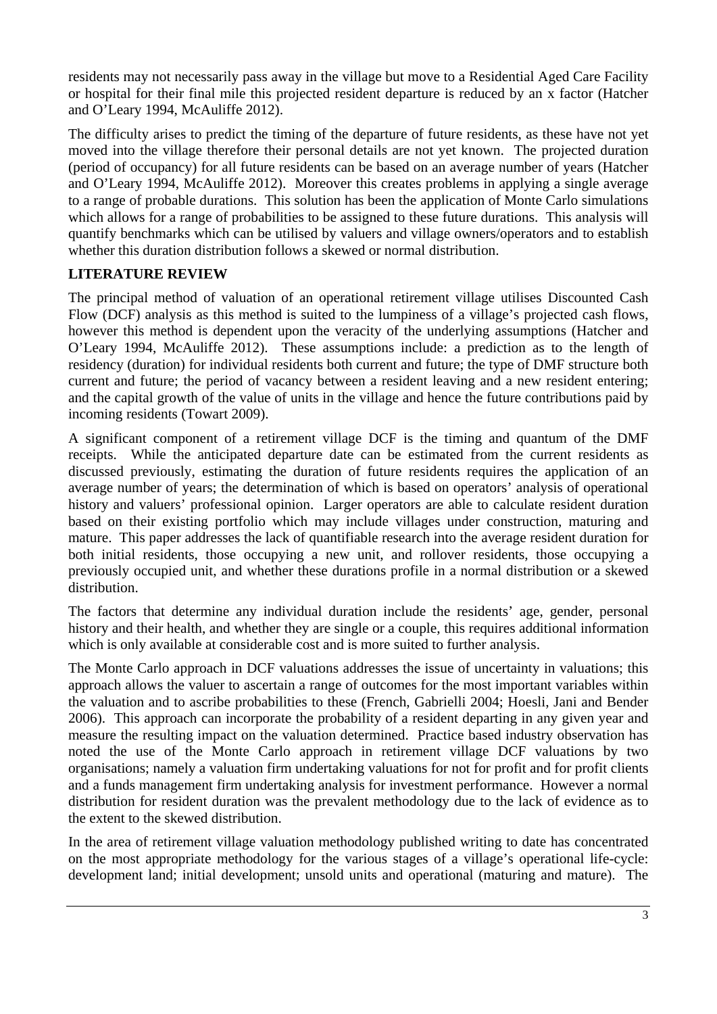residents may not necessarily pass away in the village but move to a Residential Aged Care Facility or hospital for their final mile this projected resident departure is reduced by an x factor (Hatcher and O'Leary 1994, McAuliffe 2012).

The difficulty arises to predict the timing of the departure of future residents, as these have not yet moved into the village therefore their personal details are not yet known. The projected duration (period of occupancy) for all future residents can be based on an average number of years (Hatcher and O'Leary 1994, McAuliffe 2012). Moreover this creates problems in applying a single average to a range of probable durations. This solution has been the application of Monte Carlo simulations which allows for a range of probabilities to be assigned to these future durations. This analysis will quantify benchmarks which can be utilised by valuers and village owners/operators and to establish whether this duration distribution follows a skewed or normal distribution.

# **LITERATURE REVIEW**

The principal method of valuation of an operational retirement village utilises Discounted Cash Flow (DCF) analysis as this method is suited to the lumpiness of a village's projected cash flows, however this method is dependent upon the veracity of the underlying assumptions (Hatcher and O'Leary 1994, McAuliffe 2012). These assumptions include: a prediction as to the length of residency (duration) for individual residents both current and future; the type of DMF structure both current and future; the period of vacancy between a resident leaving and a new resident entering; and the capital growth of the value of units in the village and hence the future contributions paid by incoming residents (Towart 2009).

A significant component of a retirement village DCF is the timing and quantum of the DMF receipts. While the anticipated departure date can be estimated from the current residents as discussed previously, estimating the duration of future residents requires the application of an average number of years; the determination of which is based on operators' analysis of operational history and valuers' professional opinion. Larger operators are able to calculate resident duration based on their existing portfolio which may include villages under construction, maturing and mature. This paper addresses the lack of quantifiable research into the average resident duration for both initial residents, those occupying a new unit, and rollover residents, those occupying a previously occupied unit, and whether these durations profile in a normal distribution or a skewed distribution.

The factors that determine any individual duration include the residents' age, gender, personal history and their health, and whether they are single or a couple, this requires additional information which is only available at considerable cost and is more suited to further analysis.

The Monte Carlo approach in DCF valuations addresses the issue of uncertainty in valuations; this approach allows the valuer to ascertain a range of outcomes for the most important variables within the valuation and to ascribe probabilities to these (French, Gabrielli 2004; Hoesli, Jani and Bender 2006). This approach can incorporate the probability of a resident departing in any given year and measure the resulting impact on the valuation determined. Practice based industry observation has noted the use of the Monte Carlo approach in retirement village DCF valuations by two organisations; namely a valuation firm undertaking valuations for not for profit and for profit clients and a funds management firm undertaking analysis for investment performance. However a normal distribution for resident duration was the prevalent methodology due to the lack of evidence as to the extent to the skewed distribution.

In the area of retirement village valuation methodology published writing to date has concentrated on the most appropriate methodology for the various stages of a village's operational life-cycle: development land; initial development; unsold units and operational (maturing and mature). The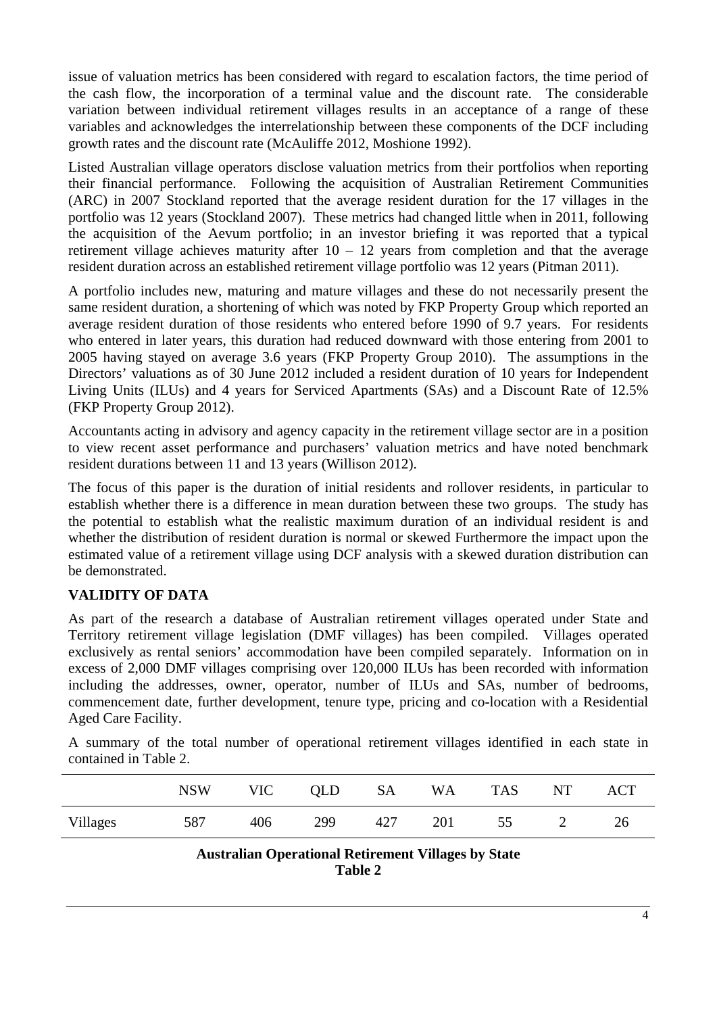issue of valuation metrics has been considered with regard to escalation factors, the time period of the cash flow, the incorporation of a terminal value and the discount rate. The considerable variation between individual retirement villages results in an acceptance of a range of these variables and acknowledges the interrelationship between these components of the DCF including growth rates and the discount rate (McAuliffe 2012, Moshione 1992).

Listed Australian village operators disclose valuation metrics from their portfolios when reporting their financial performance. Following the acquisition of Australian Retirement Communities (ARC) in 2007 Stockland reported that the average resident duration for the 17 villages in the portfolio was 12 years (Stockland 2007). These metrics had changed little when in 2011, following the acquisition of the Aevum portfolio; in an investor briefing it was reported that a typical retirement village achieves maturity after  $10 - 12$  years from completion and that the average resident duration across an established retirement village portfolio was 12 years (Pitman 2011).

A portfolio includes new, maturing and mature villages and these do not necessarily present the same resident duration, a shortening of which was noted by FKP Property Group which reported an average resident duration of those residents who entered before 1990 of 9.7 years. For residents who entered in later years, this duration had reduced downward with those entering from 2001 to 2005 having stayed on average 3.6 years (FKP Property Group 2010). The assumptions in the Directors' valuations as of 30 June 2012 included a resident duration of 10 years for Independent Living Units (ILUs) and 4 years for Serviced Apartments (SAs) and a Discount Rate of 12.5% (FKP Property Group 2012).

Accountants acting in advisory and agency capacity in the retirement village sector are in a position to view recent asset performance and purchasers' valuation metrics and have noted benchmark resident durations between 11 and 13 years (Willison 2012).

The focus of this paper is the duration of initial residents and rollover residents, in particular to establish whether there is a difference in mean duration between these two groups. The study has the potential to establish what the realistic maximum duration of an individual resident is and whether the distribution of resident duration is normal or skewed Furthermore the impact upon the estimated value of a retirement village using DCF analysis with a skewed duration distribution can be demonstrated.

# **VALIDITY OF DATA**

As part of the research a database of Australian retirement villages operated under State and Territory retirement village legislation (DMF villages) has been compiled. Villages operated exclusively as rental seniors' accommodation have been compiled separately. Information on in excess of 2,000 DMF villages comprising over 120,000 ILUs has been recorded with information including the addresses, owner, operator, number of ILUs and SAs, number of bedrooms, commencement date, further development, tenure type, pricing and co-location with a Residential Aged Care Facility.

A summary of the total number of operational retirement villages identified in each state in contained in Table 2.

|          | <b>NSW</b> | VIC | QLD | SA  | <b>WA</b> | <b>TAS</b> | ${\rm NT}$ |    |  |
|----------|------------|-----|-----|-----|-----------|------------|------------|----|--|
| Villages | 587        | 406 | 299 | 427 | 201       | 55         | ∽          | 26 |  |

**Australian Operational Retirement Villages by State Table 2**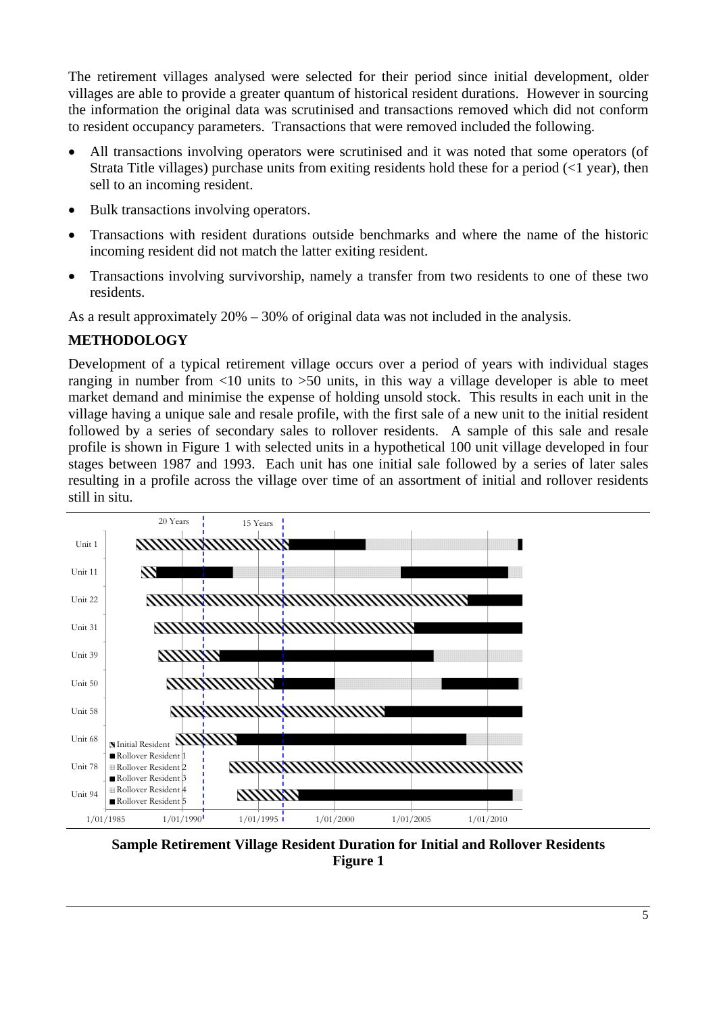The retirement villages analysed were selected for their period since initial development, older villages are able to provide a greater quantum of historical resident durations. However in sourcing the information the original data was scrutinised and transactions removed which did not conform to resident occupancy parameters. Transactions that were removed included the following.

- All transactions involving operators were scrutinised and it was noted that some operators (of Strata Title villages) purchase units from exiting residents hold these for a period  $\leq 1$  year), then sell to an incoming resident.
- Bulk transactions involving operators.
- Transactions with resident durations outside benchmarks and where the name of the historic incoming resident did not match the latter exiting resident.
- Transactions involving survivorship, namely a transfer from two residents to one of these two residents.

As a result approximately 20% – 30% of original data was not included in the analysis.

## **METHODOLOGY**

Development of a typical retirement village occurs over a period of years with individual stages ranging in number from  $\langle 10 \rangle$  units to  $\langle 50 \rangle$  units, in this way a village developer is able to meet market demand and minimise the expense of holding unsold stock. This results in each unit in the village having a unique sale and resale profile, with the first sale of a new unit to the initial resident followed by a series of secondary sales to rollover residents. A sample of this sale and resale profile is shown in Figure 1 with selected units in a hypothetical 100 unit village developed in four stages between 1987 and 1993. Each unit has one initial sale followed by a series of later sales resulting in a profile across the village over time of an assortment of initial and rollover residents still in situ.



**Sample Retirement Village Resident Duration for Initial and Rollover Residents Figure 1**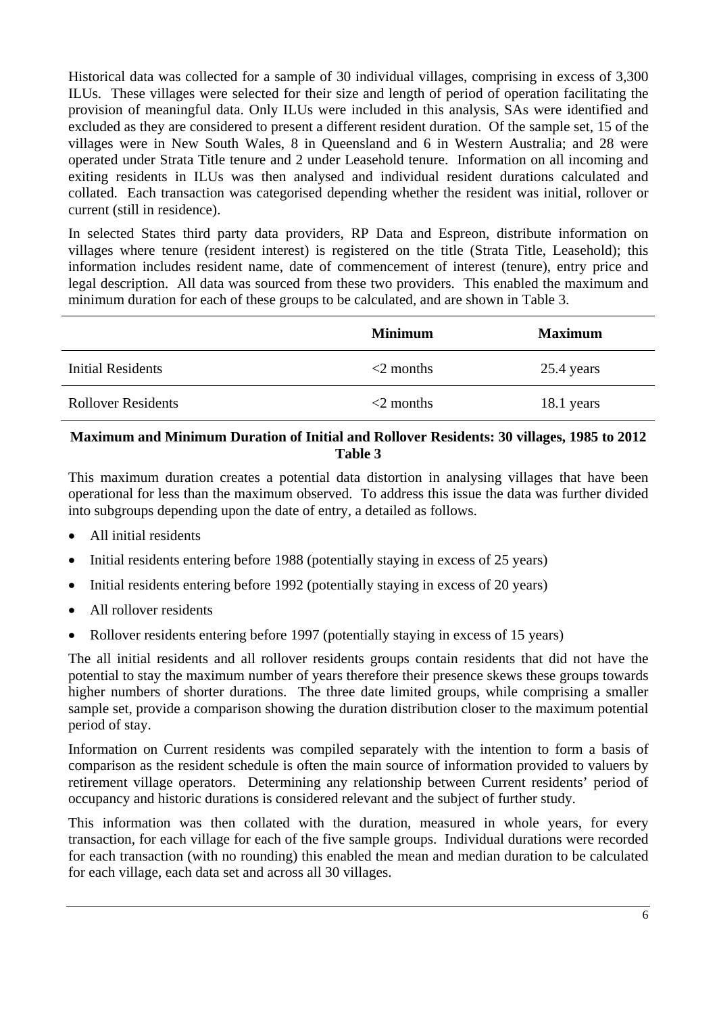Historical data was collected for a sample of 30 individual villages, comprising in excess of 3,300 ILUs. These villages were selected for their size and length of period of operation facilitating the provision of meaningful data. Only ILUs were included in this analysis, SAs were identified and excluded as they are considered to present a different resident duration. Of the sample set, 15 of the villages were in New South Wales, 8 in Queensland and 6 in Western Australia; and 28 were operated under Strata Title tenure and 2 under Leasehold tenure. Information on all incoming and exiting residents in ILUs was then analysed and individual resident durations calculated and collated. Each transaction was categorised depending whether the resident was initial, rollover or current (still in residence).

In selected States third party data providers, RP Data and Espreon, distribute information on villages where tenure (resident interest) is registered on the title (Strata Title, Leasehold); this information includes resident name, date of commencement of interest (tenure), entry price and legal description. All data was sourced from these two providers. This enabled the maximum and minimum duration for each of these groups to be calculated, and are shown in Table 3.

|                           | <b>Minimum</b> | <b>Maximum</b> |
|---------------------------|----------------|----------------|
| Initial Residents         | $\leq$ months  | 25.4 years     |
| <b>Rollover Residents</b> | $\leq$ months  | 18.1 years     |

## **Maximum and Minimum Duration of Initial and Rollover Residents: 30 villages, 1985 to 2012 Table 3**

This maximum duration creates a potential data distortion in analysing villages that have been operational for less than the maximum observed. To address this issue the data was further divided into subgroups depending upon the date of entry, a detailed as follows.

- All initial residents
- Initial residents entering before 1988 (potentially staying in excess of 25 years)
- Initial residents entering before 1992 (potentially staying in excess of 20 years)
- All rollover residents
- Rollover residents entering before 1997 (potentially staying in excess of 15 years)

The all initial residents and all rollover residents groups contain residents that did not have the potential to stay the maximum number of years therefore their presence skews these groups towards higher numbers of shorter durations. The three date limited groups, while comprising a smaller sample set, provide a comparison showing the duration distribution closer to the maximum potential period of stay.

Information on Current residents was compiled separately with the intention to form a basis of comparison as the resident schedule is often the main source of information provided to valuers by retirement village operators. Determining any relationship between Current residents' period of occupancy and historic durations is considered relevant and the subject of further study.

This information was then collated with the duration, measured in whole years, for every transaction, for each village for each of the five sample groups. Individual durations were recorded for each transaction (with no rounding) this enabled the mean and median duration to be calculated for each village, each data set and across all 30 villages.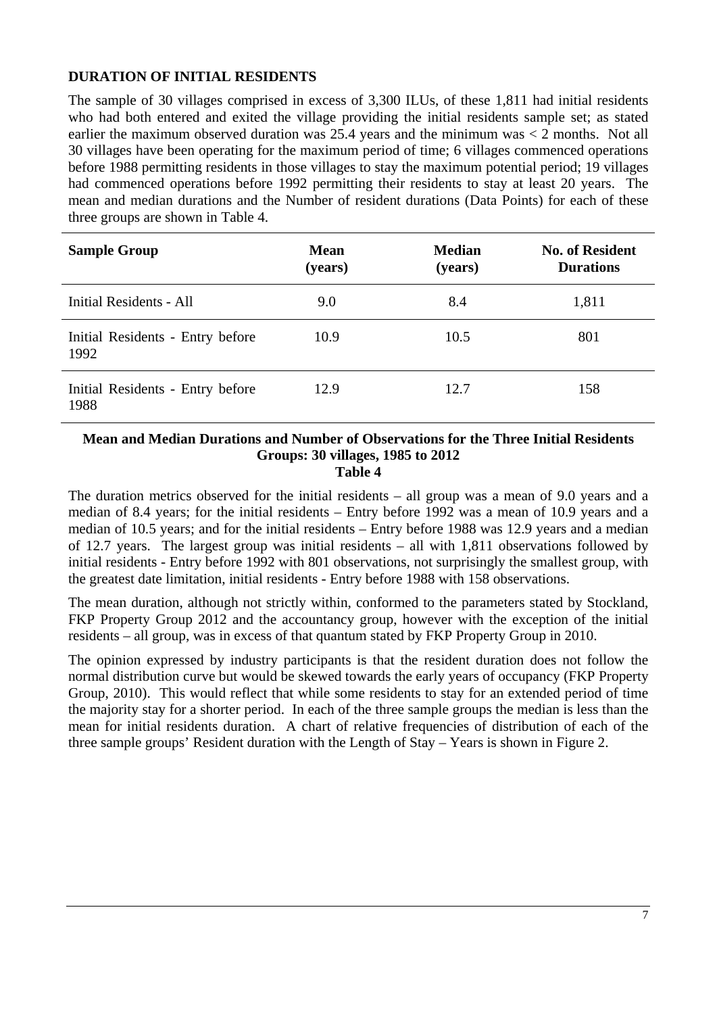## **DURATION OF INITIAL RESIDENTS**

The sample of 30 villages comprised in excess of 3,300 ILUs, of these 1,811 had initial residents who had both entered and exited the village providing the initial residents sample set; as stated earlier the maximum observed duration was 25.4 years and the minimum was < 2 months. Not all 30 villages have been operating for the maximum period of time; 6 villages commenced operations before 1988 permitting residents in those villages to stay the maximum potential period; 19 villages had commenced operations before 1992 permitting their residents to stay at least 20 years. The mean and median durations and the Number of resident durations (Data Points) for each of these three groups are shown in Table 4.

| <b>Sample Group</b>                      | <b>Mean</b><br>(years) | <b>Median</b><br>(years) | <b>No. of Resident</b><br><b>Durations</b> |
|------------------------------------------|------------------------|--------------------------|--------------------------------------------|
| Initial Residents - All                  | 9.0                    | 8.4                      | 1,811                                      |
| Initial Residents - Entry before<br>1992 | 10.9                   | 10.5                     | 801                                        |
| Initial Residents - Entry before<br>1988 | 12.9                   | 12.7                     | 158                                        |

#### **Mean and Median Durations and Number of Observations for the Three Initial Residents Groups: 30 villages, 1985 to 2012 Table 4**

The duration metrics observed for the initial residents – all group was a mean of 9.0 years and a median of 8.4 years; for the initial residents – Entry before 1992 was a mean of 10.9 years and a median of 10.5 years; and for the initial residents – Entry before 1988 was 12.9 years and a median of 12.7 years. The largest group was initial residents – all with 1,811 observations followed by initial residents - Entry before 1992 with 801 observations, not surprisingly the smallest group, with the greatest date limitation, initial residents - Entry before 1988 with 158 observations.

The mean duration, although not strictly within, conformed to the parameters stated by Stockland, FKP Property Group 2012 and the accountancy group, however with the exception of the initial residents – all group, was in excess of that quantum stated by FKP Property Group in 2010.

The opinion expressed by industry participants is that the resident duration does not follow the normal distribution curve but would be skewed towards the early years of occupancy (FKP Property Group, 2010). This would reflect that while some residents to stay for an extended period of time the majority stay for a shorter period. In each of the three sample groups the median is less than the mean for initial residents duration. A chart of relative frequencies of distribution of each of the three sample groups' Resident duration with the Length of Stay – Years is shown in Figure 2.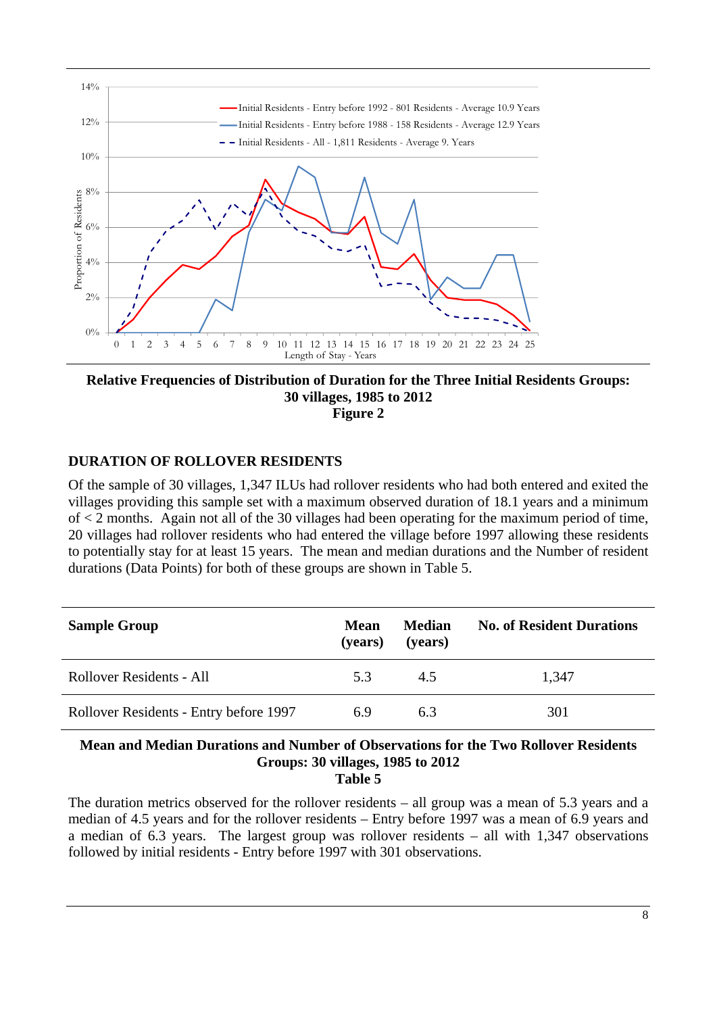

**Relative Frequencies of Distribution of Duration for the Three Initial Residents Groups: 30 villages, 1985 to 2012 Figure 2** 

# **DURATION OF ROLLOVER RESIDENTS**

Of the sample of 30 villages, 1,347 ILUs had rollover residents who had both entered and exited the villages providing this sample set with a maximum observed duration of 18.1 years and a minimum of < 2 months. Again not all of the 30 villages had been operating for the maximum period of time, 20 villages had rollover residents who had entered the village before 1997 allowing these residents to potentially stay for at least 15 years. The mean and median durations and the Number of resident durations (Data Points) for both of these groups are shown in Table 5.

| <b>Sample Group</b>                    | Mean<br>(years) | <b>Median</b><br>(years) | <b>No. of Resident Durations</b> |
|----------------------------------------|-----------------|--------------------------|----------------------------------|
| <b>Rollover Residents - All</b>        | 5.3             | 4.5                      | 1,347                            |
| Rollover Residents - Entry before 1997 | 6.9             | 6.3                      | 301                              |

#### **Mean and Median Durations and Number of Observations for the Two Rollover Residents Groups: 30 villages, 1985 to 2012 Table 5**

The duration metrics observed for the rollover residents – all group was a mean of 5.3 years and a median of 4.5 years and for the rollover residents – Entry before 1997 was a mean of 6.9 years and a median of 6.3 years. The largest group was rollover residents – all with 1,347 observations followed by initial residents - Entry before 1997 with 301 observations.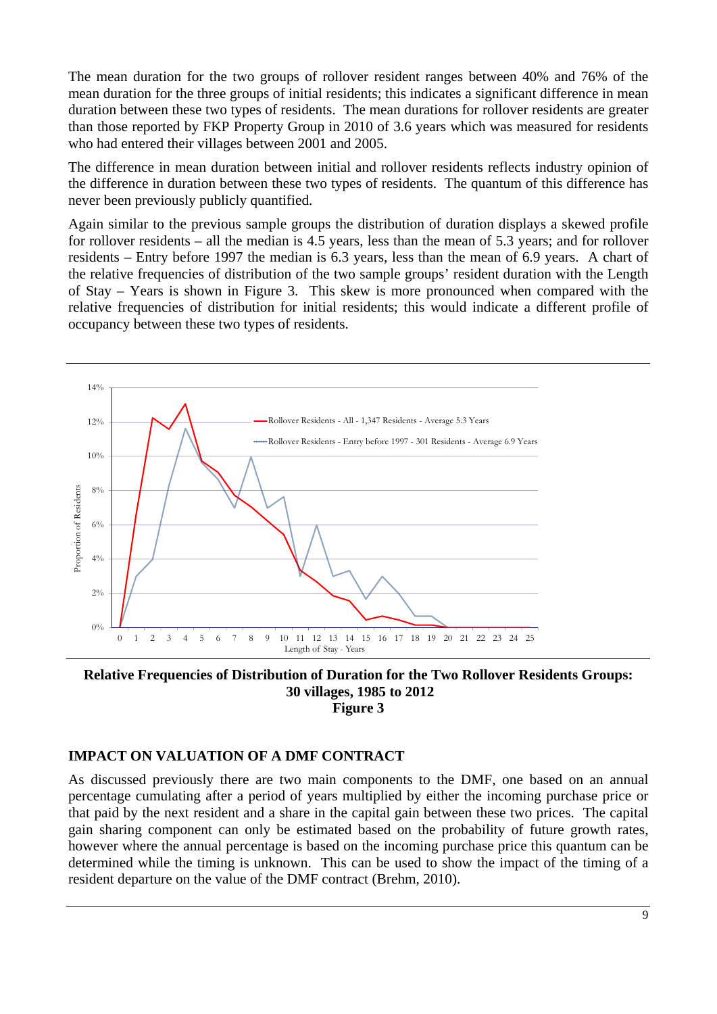The mean duration for the two groups of rollover resident ranges between 40% and 76% of the mean duration for the three groups of initial residents; this indicates a significant difference in mean duration between these two types of residents. The mean durations for rollover residents are greater than those reported by FKP Property Group in 2010 of 3.6 years which was measured for residents who had entered their villages between 2001 and 2005.

The difference in mean duration between initial and rollover residents reflects industry opinion of the difference in duration between these two types of residents. The quantum of this difference has never been previously publicly quantified.

Again similar to the previous sample groups the distribution of duration displays a skewed profile for rollover residents – all the median is 4.5 years, less than the mean of 5.3 years; and for rollover residents – Entry before 1997 the median is 6.3 years, less than the mean of 6.9 years. A chart of the relative frequencies of distribution of the two sample groups' resident duration with the Length of Stay – Years is shown in Figure 3. This skew is more pronounced when compared with the relative frequencies of distribution for initial residents; this would indicate a different profile of occupancy between these two types of residents.



**Relative Frequencies of Distribution of Duration for the Two Rollover Residents Groups: 30 villages, 1985 to 2012 Figure 3**

### **IMPACT ON VALUATION OF A DMF CONTRACT**

As discussed previously there are two main components to the DMF, one based on an annual percentage cumulating after a period of years multiplied by either the incoming purchase price or that paid by the next resident and a share in the capital gain between these two prices. The capital gain sharing component can only be estimated based on the probability of future growth rates, however where the annual percentage is based on the incoming purchase price this quantum can be determined while the timing is unknown. This can be used to show the impact of the timing of a resident departure on the value of the DMF contract (Brehm, 2010).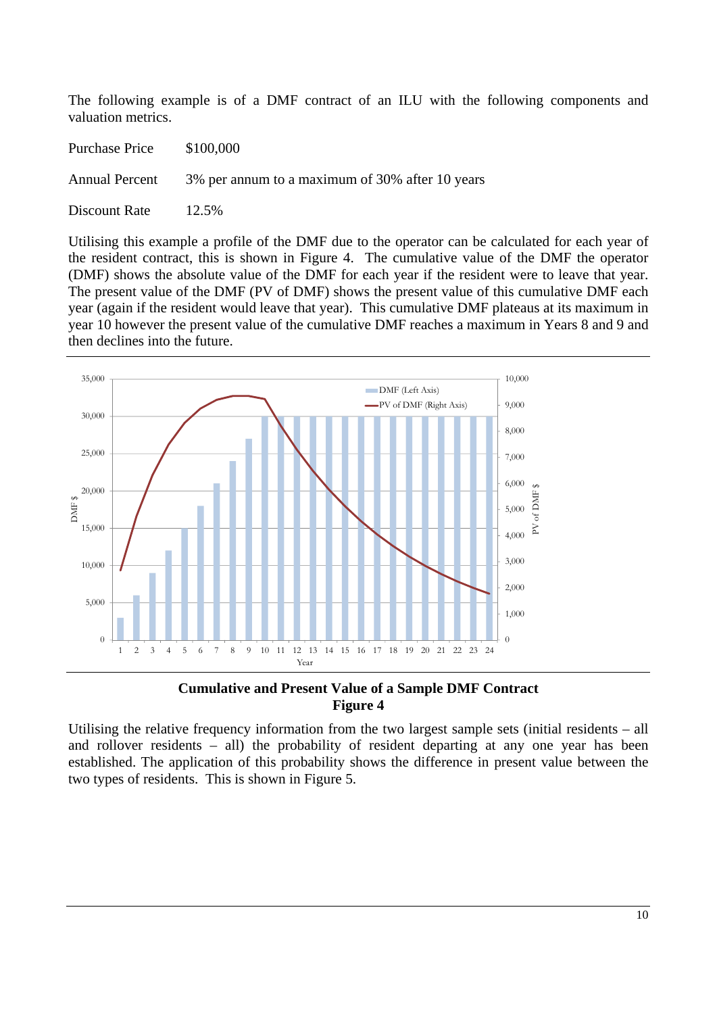The following example is of a DMF contract of an ILU with the following components and valuation metrics.

| Purchase Price        | \$100,000                                       |
|-----------------------|-------------------------------------------------|
| <b>Annual Percent</b> | 3% per annum to a maximum of 30% after 10 years |
| Discount Rate         | 12.5%                                           |

Utilising this example a profile of the DMF due to the operator can be calculated for each year of the resident contract, this is shown in Figure 4. The cumulative value of the DMF the operator (DMF) shows the absolute value of the DMF for each year if the resident were to leave that year. The present value of the DMF (PV of DMF) shows the present value of this cumulative DMF each year (again if the resident would leave that year). This cumulative DMF plateaus at its maximum in year 10 however the present value of the cumulative DMF reaches a maximum in Years 8 and 9 and then declines into the future.



**Cumulative and Present Value of a Sample DMF Contract Figure 4**

Utilising the relative frequency information from the two largest sample sets (initial residents – all and rollover residents – all) the probability of resident departing at any one year has been established. The application of this probability shows the difference in present value between the two types of residents. This is shown in Figure 5.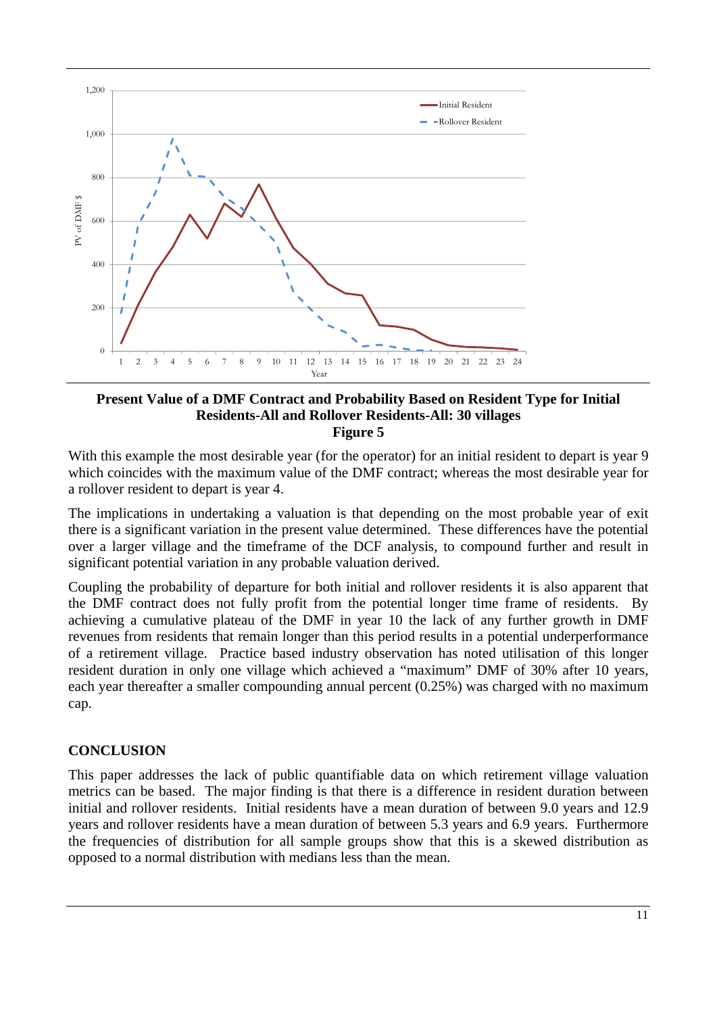

**Present Value of a DMF Contract and Probability Based on Resident Type for Initial Residents-All and Rollover Residents-All: 30 villages Figure 5** 

With this example the most desirable year (for the operator) for an initial resident to depart is year 9 which coincides with the maximum value of the DMF contract; whereas the most desirable year for a rollover resident to depart is year 4.

The implications in undertaking a valuation is that depending on the most probable year of exit there is a significant variation in the present value determined. These differences have the potential over a larger village and the timeframe of the DCF analysis, to compound further and result in significant potential variation in any probable valuation derived.

Coupling the probability of departure for both initial and rollover residents it is also apparent that the DMF contract does not fully profit from the potential longer time frame of residents. By achieving a cumulative plateau of the DMF in year 10 the lack of any further growth in DMF revenues from residents that remain longer than this period results in a potential underperformance of a retirement village. Practice based industry observation has noted utilisation of this longer resident duration in only one village which achieved a "maximum" DMF of 30% after 10 years, each year thereafter a smaller compounding annual percent (0.25%) was charged with no maximum cap.

## **CONCLUSION**

This paper addresses the lack of public quantifiable data on which retirement village valuation metrics can be based. The major finding is that there is a difference in resident duration between initial and rollover residents. Initial residents have a mean duration of between 9.0 years and 12.9 years and rollover residents have a mean duration of between 5.3 years and 6.9 years. Furthermore the frequencies of distribution for all sample groups show that this is a skewed distribution as opposed to a normal distribution with medians less than the mean.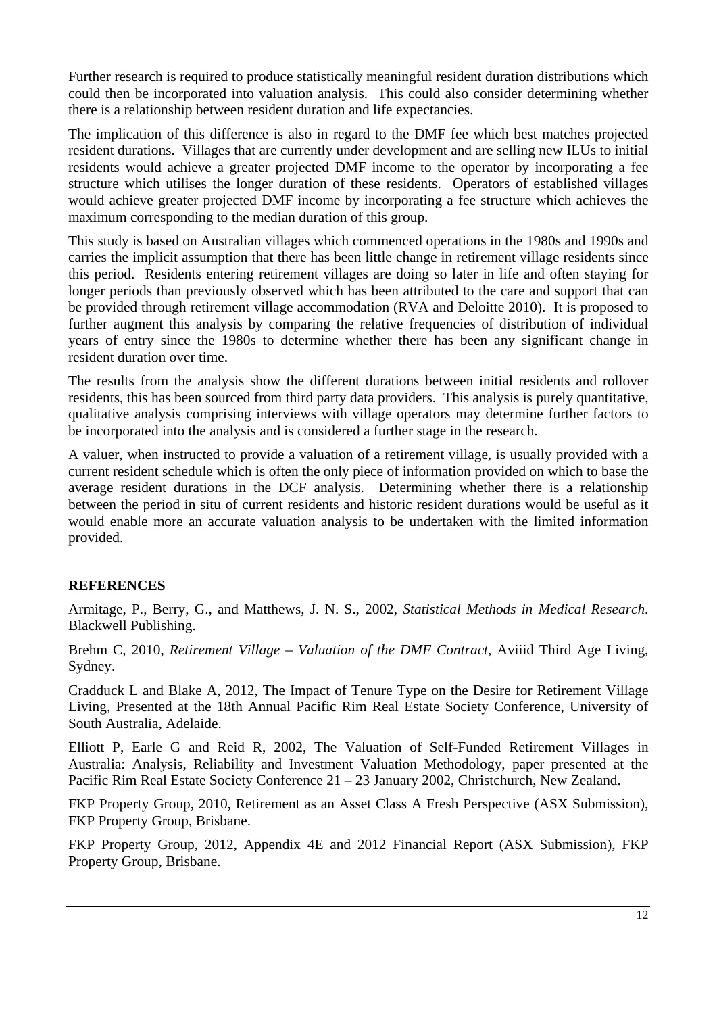Further research is required to produce statistically meaningful resident duration distributions which could then be incorporated into valuation analysis. This could also consider determining whether there is a relationship between resident duration and life expectancies.

The implication of this difference is also in regard to the DMF fee which best matches projected resident durations. Villages that are currently under development and are selling new ILUs to initial residents would achieve a greater projected DMF income to the operator by incorporating a fee structure which utilises the longer duration of these residents. Operators of established villages would achieve greater projected DMF income by incorporating a fee structure which achieves the maximum corresponding to the median duration of this group.

This study is based on Australian villages which commenced operations in the 1980s and 1990s and carries the implicit assumption that there has been little change in retirement village residents since this period. Residents entering retirement villages are doing so later in life and often staying for longer periods than previously observed which has been attributed to the care and support that can be provided through retirement village accommodation (RVA and Deloitte 2010). It is proposed to further augment this analysis by comparing the relative frequencies of distribution of individual years of entry since the 1980s to determine whether there has been any significant change in resident duration over time.

The results from the analysis show the different durations between initial residents and rollover residents, this has been sourced from third party data providers. This analysis is purely quantitative, qualitative analysis comprising interviews with village operators may determine further factors to be incorporated into the analysis and is considered a further stage in the research.

A valuer, when instructed to provide a valuation of a retirement village, is usually provided with a current resident schedule which is often the only piece of information provided on which to base the average resident durations in the DCF analysis. Determining whether there is a relationship between the period in situ of current residents and historic resident durations would be useful as it would enable more an accurate valuation analysis to be undertaken with the limited information provided.

## **REFERENCES**

Armitage, P., Berry, G., and Matthews, J. N. S., 2002, *Statistical Methods in Medical Research*. Blackwell Publishing.

Brehm C, 2010, *Retirement Village – Valuation of the DMF Contract*, Aviiid Third Age Living, Sydney.

Cradduck L and Blake A, 2012, The Impact of Tenure Type on the Desire for Retirement Village Living, Presented at the 18th Annual Pacific Rim Real Estate Society Conference, University of South Australia, Adelaide.

Elliott P, Earle G and Reid R, 2002, The Valuation of Self-Funded Retirement Villages in Australia: Analysis, Reliability and Investment Valuation Methodology, paper presented at the Pacific Rim Real Estate Society Conference 21 – 23 January 2002, Christchurch, New Zealand.

FKP Property Group, 2010, Retirement as an Asset Class A Fresh Perspective (ASX Submission), FKP Property Group, Brisbane.

FKP Property Group, 2012, Appendix 4E and 2012 Financial Report (ASX Submission), FKP Property Group, Brisbane.